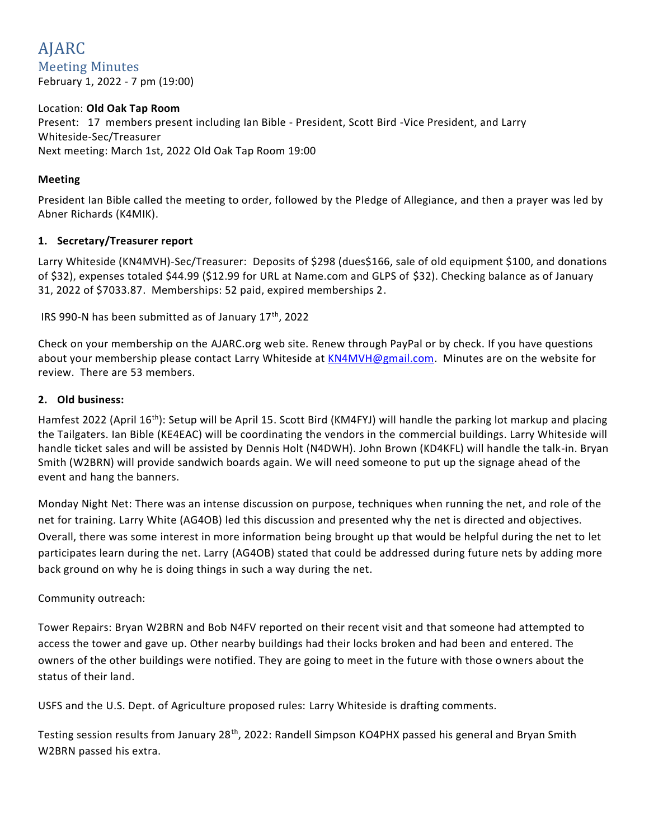# AJARC Meeting Minutes February 1, 2022 - 7 pm (19:00)

# Location: **Old Oak Tap Room** Present: 17 members present including Ian Bible - President, Scott Bird -Vice President, and Larry Whiteside-Sec/Treasurer Next meeting: March 1st, 2022 Old Oak Tap Room 19:00

# **Meeting**

President Ian Bible called the meeting to order, followed by the Pledge of Allegiance, and then a prayer was led by Abner Richards (K4MIK).

### **1. Secretary/Treasurer report**

Larry Whiteside (KN4MVH)-Sec/Treasurer: Deposits of \$298 (dues\$166, sale of old equipment \$100, and donations of \$32), expenses totaled \$44.99 (\$12.99 for URL at Name.com and GLPS of \$32). Checking balance as of January 31, 2022 of \$7033.87. Memberships: 52 paid, expired memberships 2.

IRS 990-N has been submitted as of January  $17<sup>th</sup>$ , 2022

Check on your membership on the AJARC.org web site. Renew through PayPal or by check. If you have questions about your membership please contact Larry Whiteside at [KN4MVH@gmail.com.](mailto:KN4MVH@gmail.com) Minutes are on the website for review. There are 53 members.

## **2. Old business:**

Hamfest 2022 (April 16<sup>th</sup>): Setup will be April 15. Scott Bird (KM4FYJ) will handle the parking lot markup and placing the Tailgaters. Ian Bible (KE4EAC) will be coordinating the vendors in the commercial buildings. Larry Whiteside will handle ticket sales and will be assisted by Dennis Holt (N4DWH). John Brown (KD4KFL) will handle the talk-in. Bryan Smith (W2BRN) will provide sandwich boards again. We will need someone to put up the signage ahead of the event and hang the banners.

Monday Night Net: There was an intense discussion on purpose, techniques when running the net, and role of the net for training. Larry White (AG4OB) led this discussion and presented why the net is directed and objectives. Overall, there was some interest in more information being brought up that would be helpful during the net to let participates learn during the net. Larry (AG4OB) stated that could be addressed during future nets by adding more back ground on why he is doing things in such a way during the net.

### Community outreach:

Tower Repairs: Bryan W2BRN and Bob N4FV reported on their recent visit and that someone had attempted to access the tower and gave up. Other nearby buildings had their locks broken and had been and entered. The owners of the other buildings were notified. They are going to meet in the future with those owners about the status of their land.

USFS and the U.S. Dept. of Agriculture proposed rules: Larry Whiteside is drafting comments.

Testing session results from January 28<sup>th</sup>, 2022: Randell Simpson KO4PHX passed his general and Bryan Smith W2BRN passed his extra.